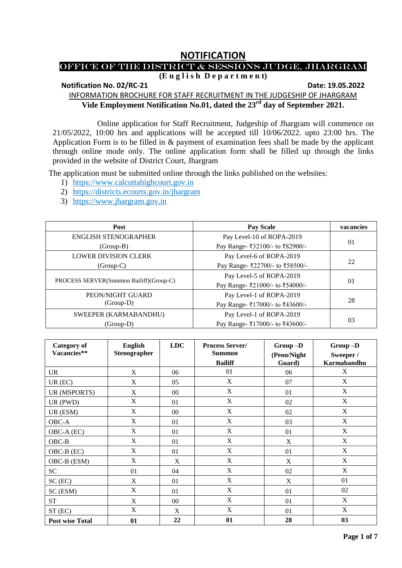# **NOTIFICATION**

## OFFICE OF THE DISTRICT & SESSIONS JUDGE, JHARGRAM

# **(E n g l i s h D e p a r t m e n t)**

**Notification No. 02/RC-21** 2022 **Date: 19.05.2022** 

INFORMATION BROCHURE FOR STAFF RECRUITMENT IN THE JUDGESHIP OF JHARGRAM **Vide Employment Notification No.01, dated the 23rd day of September 2021.**

Online application for Staff Recruitment, Judgeship of Jhargram will commence on 21/05/2022, 10:00 hrs and applications will be accepted till 10/06/2022. upto 23:00 hrs. The Application Form is to be filled in & payment of examination fees shall be made by the applicant through online mode only. The online application form shall be filled up through the links provided in the website of District Court, Jhargram

The application must be submitted online through the links published on the websites:

- 1) [https://www.calcuttahighcourt.gov.in](https://www.calcuttahighcourt.gov.in/)
- 2) <https://districts.ecourts.gov.in/jhargram>
- 3) [https://www.jhargram.gov.in](https://www.jhargram.gov.in/)

| <b>Post</b>                             | <b>Pay Scale</b>                | vacancies |  |
|-----------------------------------------|---------------------------------|-----------|--|
| ENGLISH STENOGRAPHER                    | Pay Level-10 of ROPA-2019       |           |  |
| (Group-B)                               | Pay Range- ₹32100/- to ₹82900/- | 01        |  |
| <b>LOWER DIVISION CLERK</b>             | Pay Level-6 of ROPA-2019        |           |  |
| $(Group-C)$                             | Pay Range- ₹22700/- to ₹58500/- | 22        |  |
|                                         | Pay Level-5 of ROPA-2019        |           |  |
| PROCESS SERVER(Summon Bailiff)(Group-C) | Pay Range- ₹21000/- to ₹54000/- | 01        |  |
| PEON/NIGHT GUARD                        | Pay Level-1 of ROPA-2019        |           |  |
| $(Group-D)$                             | Pay Range- ₹17000/- to ₹43600/- | 28        |  |
| SWEEPER (KARMABANDHU)                   | Pay Level-1 of ROPA-2019        |           |  |
| (Group-D)                               | Pay Range- ₹17000/- to ₹43600/- | 03        |  |

| <b>Category of</b><br>Vacancies** | <b>English</b><br>Stenographer | <b>LDC</b> | <b>Process Server/</b><br><b>Summon</b><br><b>Bailiff</b> | Group-D<br>(Peon/Night<br>Guard) | Group-D<br>Sweeper /<br>Karmabandhu |
|-----------------------------------|--------------------------------|------------|-----------------------------------------------------------|----------------------------------|-------------------------------------|
| <b>UR</b>                         | $\boldsymbol{\mathrm{X}}$      | 06         | 01                                                        | 06                               | X                                   |
| $UR$ (EC)                         | X                              | 05         | X                                                         | 07                               | X                                   |
| UR (MSPORTS)                      | X                              | $00\,$     | $\mathbf X$                                               | 01                               | X                                   |
| UR (PWD)                          | X                              | 01         | $\mathbf X$                                               | 02                               | X                                   |
| UR (ESM)                          | $\boldsymbol{\mathrm{X}}$      | $00\,$     | $\mathbf X$                                               | 02                               | $\boldsymbol{\mathrm{X}}$           |
| OBC-A                             | $\boldsymbol{\mathrm{X}}$      | 01         | $\mathbf X$                                               | 03                               | $\boldsymbol{\mathrm{X}}$           |
| OBC-A (EC)                        | $\boldsymbol{\mathrm{X}}$      | 01         | $\mathbf X$                                               | 01                               | X                                   |
| $OBC-B$                           | $\boldsymbol{\mathrm{X}}$      | 01         | $\mathbf X$                                               | $\boldsymbol{\mathrm{X}}$        | X                                   |
| OBC-B (EC)                        | X                              | 01         | X                                                         | 01                               | X                                   |
| OBC-B (ESM)                       | $\boldsymbol{\mathrm{X}}$      | X          | $\mathbf X$                                               | $\boldsymbol{\mathrm{X}}$        | X                                   |
| <b>SC</b>                         | 01                             | 04         | $\mathbf X$                                               | 02                               | X                                   |
| $SC$ (EC)                         | X                              | 01         | $\mathbf X$                                               | X                                | 01                                  |
| SC (ESM)                          | $\boldsymbol{\mathrm{X}}$      | 01         | $\mathbf X$                                               | 01                               | 02                                  |
| <b>ST</b>                         | X                              | $00\,$     | X                                                         | 01                               | X                                   |
| ST (EC)                           | $\mathbf X$                    | X          | $\mathbf X$                                               | 01                               | $\mathbf X$                         |
| <b>Post wise Total</b>            | 01                             | 22         | 01                                                        | 28                               | 03                                  |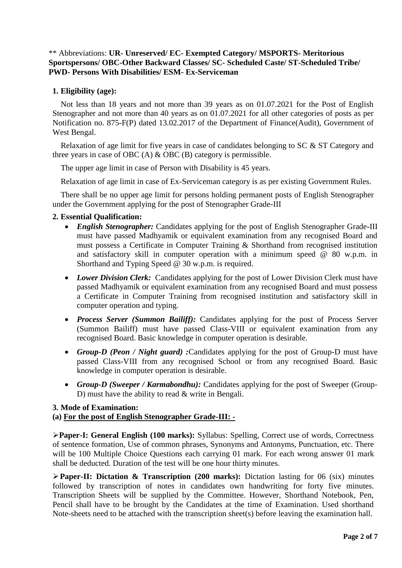#### \*\* Abbreviations: **UR- Unreserved/ EC- Exempted Category/ MSPORTS- Meritorious Sportspersons/ OBC-Other Backward Classes/ SC- Scheduled Caste/ ST-Scheduled Tribe/ PWD- Persons With Disabilities/ ESM- Ex-Serviceman**

#### **1. Eligibility (age):**

Not less than 18 years and not more than 39 years as on 01.07.2021 for the Post of English Stenographer and not more than 40 years as on 01.07.2021 for all other categories of posts as per Notification no. 875-F(P) dated 13.02.2017 of the Department of Finance(Audit), Government of West Bengal.

Relaxation of age limit for five years in case of candidates belonging to SC & ST Category and three years in case of OBC (A)  $\&$  OBC (B) category is permissible.

The upper age limit in case of Person with Disability is 45 years.

Relaxation of age limit in case of Ex-Serviceman category is as per existing Government Rules.

There shall be no upper age limit for persons holding permanent posts of English Stenographer under the Government applying for the post of Stenographer Grade-III

#### **2. Essential Qualification:**

- *English Stenographer:* Candidates applying for the post of English Stenographer Grade-III must have passed Madhyamik or equivalent examination from any recognised Board and must possess a Certificate in Computer Training & Shorthand from recognised institution and satisfactory skill in computer operation with a minimum speed  $\& 80$  w.p.m. in Shorthand and Typing Speed  $\overrightarrow{\omega}$  30 w.p.m. is required.
- *Lower Division Clerk:* Candidates applying for the post of Lower Division Clerk must have passed Madhyamik or equivalent examination from any recognised Board and must possess a Certificate in Computer Training from recognised institution and satisfactory skill in computer operation and typing.
- *Process Server (Summon Bailiff):* Candidates applying for the post of Process Server (Summon Bailiff) must have passed Class-VIII or equivalent examination from any recognised Board. Basic knowledge in computer operation is desirable.
- *Group-D (Peon / Night guard) :*Candidates applying for the post of Group-D must have passed Class-VIII from any recognised School or from any recognised Board. Basic knowledge in computer operation is desirable.
- *Group-D (Sweeper / Karmabondhu):* Candidates applying for the post of Sweeper (Group-D) must have the ability to read & write in Bengali.

#### **3. Mode of Examination: (a) For the post of English Stenographer Grade-III: -**

**Paper-I: General English (100 marks):** Syllabus: Spelling, Correct use of words, Correctness of sentence formation, Use of common phrases, Synonyms and Antonyms, Punctuation, etc. There will be 100 Multiple Choice Questions each carrying 01 mark. For each wrong answer 01 mark shall be deducted. Duration of the test will be one hour thirty minutes.

**Paper-II: Dictation & Transcription (200 marks):** Dictation lasting for 06 (six) minutes followed by transcription of notes in candidates own handwriting for forty five minutes. Transcription Sheets will be supplied by the Committee. However, Shorthand Notebook, Pen, Pencil shall have to be brought by the Candidates at the time of Examination. Used shorthand Note-sheets need to be attached with the transcription sheet(s) before leaving the examination hall.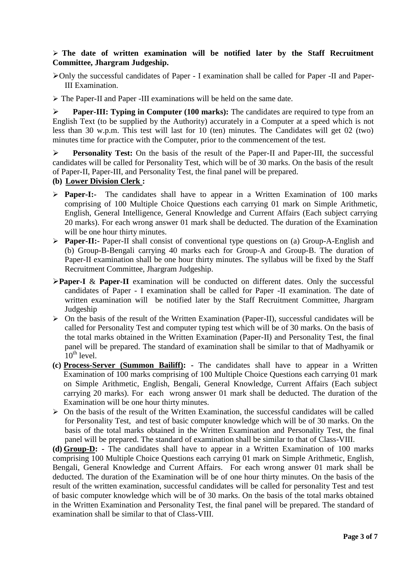#### **The date of written examination will be notified later by the Staff Recruitment Committee, Jhargram Judgeship.**

Only the successful candidates of Paper - I examination shall be called for Paper -II and Paper-III Examination.

The Paper-II and Paper -III examinations will be held on the same date.

 **Paper-III: Typing in Computer (100 marks):** The candidates are required to type from an English Text (to be supplied by the Authority) accurately in a Computer at a speed which is not less than 30 w.p.m. This test will last for 10 (ten) minutes. The Candidates will get 02 (two) minutes time for practice with the Computer, prior to the commencement of the test.

 **Personality Test:** On the basis of the result of the Paper-II and Paper-III, the successful candidates will be called for Personality Test, which will be of 30 marks. On the basis of the result of Paper-II, Paper-III, and Personality Test, the final panel will be prepared.

### **(b) Lower Division Clerk :**

- **Paper-I:-** The candidates shall have to appear in a Written Examination of 100 marks comprising of 100 Multiple Choice Questions each carrying 01 mark on Simple Arithmetic, English, General Intelligence, General Knowledge and Current Affairs (Each subject carrying 20 marks). For each wrong answer 01 mark shall be deducted. The duration of the Examination will be one hour thirty minutes.
- **Paper-II:-** Paper-II shall consist of conventional type questions on (a) Group-A-English and (b) Group-B-Bengali carrying 40 marks each for Group-A and Group-B. The duration of Paper-II examination shall be one hour thirty minutes. The syllabus will be fixed by the Staff Recruitment Committee, Jhargram Judgeship.
- **Paper-I** & **Paper-II** examination will be conducted on different dates. Only the successful candidates of Paper - I examination shall be called for Paper -II examination. The date of written examination will be notified later by the Staff Recruitment Committee, Jhargram Judgeship
- $\triangleright$  On the basis of the result of the Written Examination (Paper-II), successful candidates will be called for Personality Test and computer typing test which will be of 30 marks. On the basis of the total marks obtained in the Written Examination (Paper-II) and Personality Test, the final panel will be prepared. The standard of examination shall be similar to that of Madhyamik or  $10^{th}$  level.
- **(c) Process-Server (Summon Bailiff): -** The candidates shall have to appear in a Written Examination of 100 marks comprising of 100 Multiple Choice Questions each carrying 01 mark on Simple Arithmetic, English, Bengali, General Knowledge, Current Affairs (Each subject carrying 20 marks). For each wrong answer 01 mark shall be deducted. The duration of the Examination will be one hour thirty minutes.
- $\triangleright$  On the basis of the result of the Written Examination, the successful candidates will be called for Personality Test, and test of basic computer knowledge which will be of 30 marks. On the basis of the total marks obtained in the Written Examination and Personality Test, the final panel will be prepared. The standard of examination shall be similar to that of Class-VIII.

**(d) Group-D: -** The candidates shall have to appear in a Written Examination of 100 marks comprising 100 Multiple Choice Questions each carrying 01 mark on Simple Arithmetic, English, Bengali, General Knowledge and Current Affairs. For each wrong answer 01 mark shall be deducted. The duration of the Examination will be of one hour thirty minutes. On the basis of the result of the written examination, successful candidates will be called for personality Test and test of basic computer knowledge which will be of 30 marks. On the basis of the total marks obtained in the Written Examination and Personality Test, the final panel will be prepared. The standard of examination shall be similar to that of Class-VIII.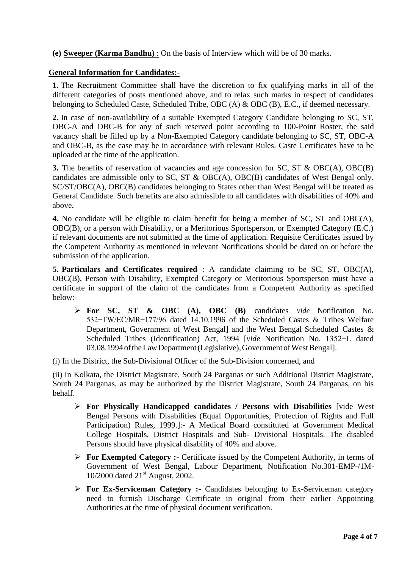**(e) Sweeper (Karma Bandhu)** : On the basis of Interview which will be of 30 marks.

#### **General Information for Candidates:-**

**1.** The Recruitment Committee shall have the discretion to fix qualifying marks in all of the different categories of posts mentioned above, and to relax such marks in respect of candidates belonging to Scheduled Caste, Scheduled Tribe, OBC (A) & OBC (B), E.C., if deemed necessary.

**2.** In case of non-availability of a suitable Exempted Category Candidate belonging to SC, ST, OBC-A and OBC-B for any of such reserved point according to 100-Point Roster, the said vacancy shall be filled up by a Non-Exempted Category candidate belonging to SC, ST, OBC-A and OBC-B, as the case may be in accordance with relevant Rules. Caste Certificates have to be uploaded at the time of the application.

**3.** The benefits of reservation of vacancies and age concession for SC, ST & OBC(A), OBC(B) candidates are admissible only to SC, ST & OBC(A), OBC(B) candidates of West Bengal only. SC/ST/OBC(A), OBC(B) candidates belonging to States other than West Bengal will be treated as General Candidate. Such benefits are also admissible to all candidates with disabilities of 40% and above**.**

**4.** No candidate will be eligible to claim benefit for being a member of SC, ST and OBC(A), OBC(B), or a person with Disability, or a Meritorious Sportsperson, or Exempted Category (E.C.) if relevant documents are not submitted at the time of application. Requisite Certificates issued by the Competent Authority as mentioned in relevant Notifications should be dated on or before the submission of the application.

**5. Particulars and Certificates required** : A candidate claiming to be SC, ST, OBC(A), OBC(B), Person with Disability, Exempted Category or Meritorious Sportsperson must have a certificate in support of the claim of the candidates from a Competent Authority as specified below:-

 **For SC, ST & OBC (A), OBC (B)** candidates *vide* Notification No. 532−TW/EC/MR−177/96 dated 14.10.1996 of the Scheduled Castes & Tribes Welfare Department, Government of West Bengal] and the West Bengal Scheduled Castes & Scheduled Tribes (Identification) Act, 1994 [*vide* Notification No. 1352−L dated 03.08.1994 of the Law Department (Legislative), Government of West Bengal].

(i) In the District, the Sub-Divisional Officer of the Sub-Division concerned, and

(ii) In Kolkata, the District Magistrate, South 24 Parganas or such Additional District Magistrate, South 24 Parganas, as may be authorized by the District Magistrate, South 24 Parganas, on his behalf.

- **For Physically Handicapped candidates / Persons with Disabilities** [vide West Bengal Persons with Disabilities (Equal Opportunities, Protection of Rights and Full Participation) Rules, 1999.]:- A Medical Board constituted at Government Medical College Hospitals, District Hospitals and Sub- Divisional Hospitals. The disabled Persons should have physical disability of 40% and above.
- **For Exempted Category :-** Certificate issued by the Competent Authority, in terms of Government of West Bengal, Labour Department, Notification No.301-EMP-/1M-10/2000 dated  $21<sup>st</sup>$  August, 2002.
- **For Ex-Serviceman Category :-** Candidates belonging to Ex-Serviceman category need to furnish Discharge Certificate in original from their earlier Appointing Authorities at the time of physical document verification.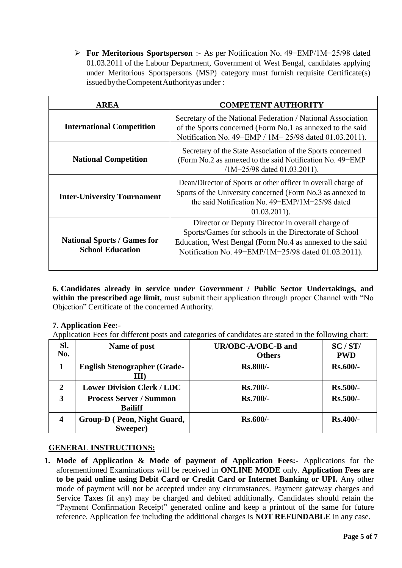**For Meritorious Sportsperson** :- As per Notification No. 49−EMP/1M−25/98 dated 01.03.2011 of the Labour Department, Government of West Bengal, candidates applying under Meritorious Sportspersons (MSP) category must furnish requisite Certificate(s) issuedbytheCompetentAuthorityasunder :

| <b>AREA</b>                                                   | <b>COMPETENT AUTHORITY</b>                                                                                                                                                                                                   |  |  |
|---------------------------------------------------------------|------------------------------------------------------------------------------------------------------------------------------------------------------------------------------------------------------------------------------|--|--|
| <b>International Competition</b>                              | Secretary of the National Federation / National Association<br>of the Sports concerned (Form No.1 as annexed to the said<br>Notification No. 49-EMP / 1M-25/98 dated 01.03.2011).                                            |  |  |
| <b>National Competition</b>                                   | Secretary of the State Association of the Sports concerned<br>(Form No.2 as annexed to the said Notification No. 49–EMP)<br>$/1M-25/98$ dated 01.03.2011).                                                                   |  |  |
| <b>Inter-University Tournament</b>                            | Dean/Director of Sports or other officer in overall charge of<br>Sports of the University concerned (Form No.3 as annexed to<br>the said Notification No. $49 - EMP/1M - 25/98$ dated<br>$01.03.2011$ .                      |  |  |
| <b>National Sports / Games for</b><br><b>School Education</b> | Director or Deputy Director in overall charge of<br>Sports/Games for schools in the Directorate of School<br>Education, West Bengal (Form No.4 as annexed to the said<br>Notification No. 49–EMP/1M–25/98 dated 01.03.2011). |  |  |

**6. Candidates already in service under Government / Public Sector Undertakings, and**  within the prescribed age limit, must submit their application through proper Channel with "No Objection" Certificate of the concerned Authority.

### **7. Application Fee:-**

Application Fees for different posts and categories of candidates are stated in the following chart:

| SI.<br>No.       | Name of post                                     | UR/OBC-A/OBC-B and<br><b>Others</b> | SC/ST/<br><b>PWD</b> |
|------------------|--------------------------------------------------|-------------------------------------|----------------------|
|                  | <b>English Stenographer (Grade-</b><br>LLI)      | $Rs.800/-$                          | $Rs.600/-$           |
| $\boldsymbol{2}$ | <b>Lower Division Clerk / LDC</b>                | $Rs.700/-$                          | $Rs.500/-$           |
| 3                | <b>Process Server / Summon</b><br><b>Bailiff</b> | $Rs.700/-$                          | $Rs.500/-$           |
| $\boldsymbol{4}$ | Group-D (Peon, Night Guard,<br>Sweeper)          | $Rs.600/-$                          | $Rs.400/-$           |

## **GENERAL INSTRUCTIONS:**

**1. Mode of Application & Mode of payment of Application Fees:-** Applications for the aforementioned Examinations will be received in **ONLINE MODE** only. **Application Fees are to be paid online using Debit Card or Credit Card or Internet Banking or UPI.** Any other mode of payment will not be accepted under any circumstances. Payment gateway charges and Service Taxes (if any) may be charged and debited additionally. Candidates should retain the "Payment Confirmation Receipt" generated online and keep a printout of the same for future reference. Application fee including the additional charges is **NOT REFUNDABLE** in any case.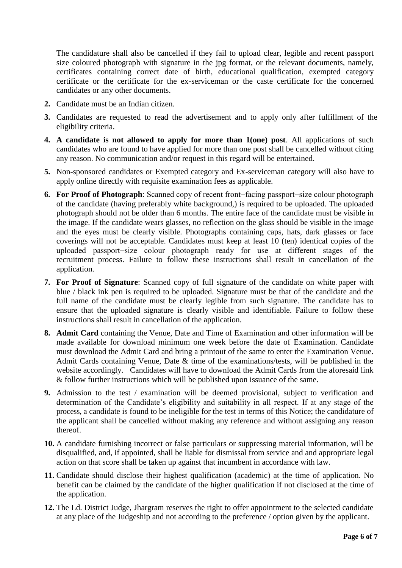The candidature shall also be cancelled if they fail to upload clear, legible and recent passport size coloured photograph with signature in the jpg format, or the relevant documents, namely, certificates containing correct date of birth, educational qualification, exempted category certificate or the certificate for the ex-serviceman or the caste certificate for the concerned candidates or any other documents.

- **2.** Candidate must be an Indian citizen.
- **3.** Candidates are requested to read the advertisement and to apply only after fulfillment of the eligibility criteria.
- **4. A candidate is not allowed to apply for more than 1(one) post**. All applications of such candidates who are found to have applied for more than one post shall be cancelled without citing any reason. No communication and/or request in this regard will be entertained.
- **5.** Non-sponsored candidates or Exempted category and Ex-serviceman category will also have to apply online directly with requisite examination fees as applicable.
- **6. For Proof of Photograph**: Scanned copy of recent front−facing passport−size colour photograph of the candidate (having preferably white background,) is required to be uploaded. The uploaded photograph should not be older than 6 months. The entire face of the candidate must be visible in the image. If the candidate wears glasses, no reflection on the glass should be visible in the image and the eyes must be clearly visible. Photographs containing caps, hats, dark glasses or face coverings will not be acceptable. Candidates must keep at least 10 (ten) identical copies of the uploaded passport−size colour photograph ready for use at different stages of the recruitment process. Failure to follow these instructions shall result in cancellation of the application.
- **7. For Proof of Signature**: Scanned copy of full signature of the candidate on white paper with blue / black ink pen is required to be uploaded. Signature must be that of the candidate and the full name of the candidate must be clearly legible from such signature. The candidate has to ensure that the uploaded signature is clearly visible and identifiable. Failure to follow these instructions shall result in cancellation of the application.
- **8. Admit Card** containing the Venue, Date and Time of Examination and other information will be made available for download minimum one week before the date of Examination. Candidate must download the Admit Card and bring a printout of the same to enter the Examination Venue. Admit Cards containing Venue, Date & time of the examinations/tests, will be published in the website accordingly. Candidates will have to download the Admit Cards from the aforesaid link & follow further instructions which will be published upon issuance of the same.
- **9.** Admission to the test / examination will be deemed provisional, subject to verification and determination of the Candidate's eligibility and suitability in all respect. If at any stage of the process, a candidate is found to be ineligible for the test in terms of this Notice; the candidature of the applicant shall be cancelled without making any reference and without assigning any reason thereof.
- **10.** A candidate furnishing incorrect or false particulars or suppressing material information, will be disqualified, and, if appointed, shall be liable for dismissal from service and and appropriate legal action on that score shall be taken up against that incumbent in accordance with law.
- **11.** Candidate should disclose their highest qualification (academic) at the time of application. No benefit can be claimed by the candidate of the higher qualification if not disclosed at the time of the application.
- **12.** The Ld. District Judge, Jhargram reserves the right to offer appointment to the selected candidate at any place of the Judgeship and not according to the preference / option given by the applicant.